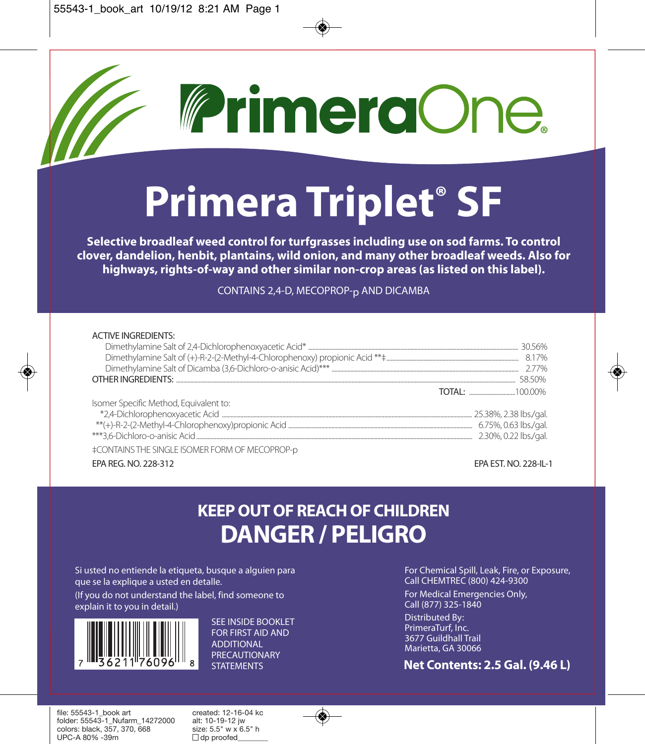

# **Primera Triplet® SF**

**Selective broadleaf weed control for turfgrasses including use on sod farms. To control clover, dandelion, henbit, plantains, wild onion, and many other broadleaf weeds. Also for highways, rights-of-way and other similar non-crop areas (as listed on this label).**

CONTAINS 2,4-D, MECOPROP-p AND DICAMBA

| <b>ACTIVE INGREDIENTS:</b>                            |                       |
|-------------------------------------------------------|-----------------------|
|                                                       |                       |
|                                                       |                       |
|                                                       |                       |
|                                                       | 58.50%                |
|                                                       |                       |
| Isomer Specific Method, Equivalent to:                |                       |
|                                                       |                       |
|                                                       |                       |
|                                                       | 2.30%, 0.22 lbs./gal. |
| <b>‡CONTAINS THE SINGLE ISOMER FORM OF MECOPROP-D</b> |                       |

EPA REG. NO. 228-312 EPA EST. NO. 228-IL-1

## **KEEP OUT OF REACH OF CHILDREN DANGER / PELIGRO**

Si usted no entiende la etiqueta, busque a alguien para que se la explique a usted en detalle. (If you do not understand the label, find someone to explain it to you in detail.)

SEE INSIDE BOOKLET FOR FIRST AID AND ADDITIONAL PRECAUTIONARY **STATEMENTS** 

For Chemical Spill, Leak, Fire, or Exposure, Call CHEMTREC (800) 424-9300

For Medical Emergencies Only, Call (877) 325-1840

Distributed By: PrimeraTurf, Inc. 3677 Guildhall Trail Marietta, GA 30066

#### **Net Contents: 2.5 Gal. (9.46 L)**

file: 55543-1\_book art created: 12-16-04 kc<br>folder: 55543-1 Nufarm 14272000 alt: 10-19-12 iw folder: 55543-1\_Nufarm\_14272000 alt: 10-19-12 jw colors: black,  $3\overline{5}7$ ,  $370$ ,  $\overline{6}68$  size: 5.5" w x i<br>UPC-A 80% -39m  $\Box$  do proofed  $UPC-A 80\% -39m$ 

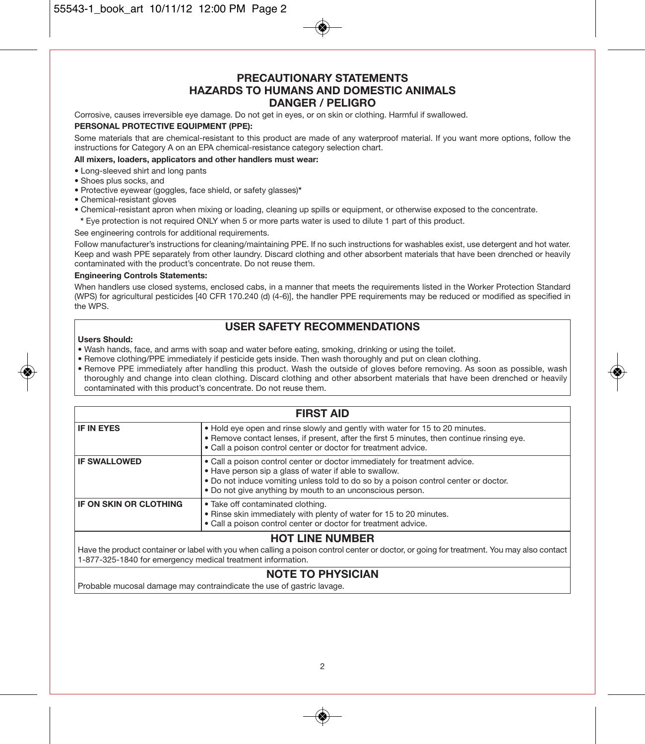#### **PRECAUTIONARY STATEMENTS HAZARDS TO HUMANS AND DOMESTIC ANIMALS DANGER / PELIGRO**

Corrosive, causes irreversible eye damage. Do not get in eyes, or on skin or clothing. Harmful if swallowed. **PERSONAL PROTECTIVE EQUIPMENT (PPE):**

Some materials that are chemical-resistant to this product are made of any waterproof material. If you want more options, follow the instructions for Category A on an EPA chemical-resistance category selection chart.

#### **All mixers, loaders, applicators and other handlers must wear:**

- Long-sleeved shirt and long pants
- Shoes plus socks, and
- Protective eyewear (goggles, face shield, or safety glasses)**\***
- Chemical-resistant gloves
- Chemical-resistant apron when mixing or loading, cleaning up spills or equipment, or otherwise exposed to the concentrate.
- **\*** Eye protection is not required ONLY when 5 or more parts water is used to dilute 1 part of this product.

#### See engineering controls for additional requirements.

Follow manufacturer's instructions for cleaning/maintaining PPE. If no such instructions for washables exist, use detergent and hot water. Keep and wash PPE separately from other laundry. Discard clothing and other absorbent materials that have been drenched or heavily contaminated with the product's concentrate. Do not reuse them.

#### **Engineering Controls Statements:**

When handlers use closed systems, enclosed cabs, in a manner that meets the requirements listed in the Worker Protection Standard (WPS) for agricultural pesticides [40 CFR 170.240 (d) (4-6)], the handler PPE requirements may be reduced or modified as specified in the WPS.

#### **USER SAFETY RECOMMENDATIONS**

#### **Users Should:**

- Wash hands, face, and arms with soap and water before eating, smoking, drinking or using the toilet.
- Remove clothing/PPE immediately if pesticide gets inside. Then wash thoroughly and put on clean clothing.
- Remove PPE immediately after handling this product. Wash the outside of gloves before removing. As soon as possible, wash thoroughly and change into clean clothing. Discard clothing and other absorbent materials that have been drenched or heavily contaminated with this product's concentrate. Do not reuse them.

| <b>FIRST AID</b>              |                                                                                                                                                                                                                                                                                          |  |  |  |
|-------------------------------|------------------------------------------------------------------------------------------------------------------------------------------------------------------------------------------------------------------------------------------------------------------------------------------|--|--|--|
| <b>IF IN EYES</b>             | . Hold eye open and rinse slowly and gently with water for 15 to 20 minutes.<br>. Remove contact lenses, if present, after the first 5 minutes, then continue rinsing eye.<br>. Call a poison control center or doctor for treatment advice.                                             |  |  |  |
| <b>IF SWALLOWED</b>           | • Call a poison control center or doctor immediately for treatment advice.<br>. Have person sip a glass of water if able to swallow.<br>. Do not induce vomiting unless told to do so by a poison control center or doctor.<br>. Do not give anything by mouth to an unconscious person. |  |  |  |
| <b>IF ON SKIN OR CLOTHING</b> | • Take off contaminated clothing.<br>. Rinse skin immediately with plenty of water for 15 to 20 minutes.<br>. Call a poison control center or doctor for treatment advice.                                                                                                               |  |  |  |
|                               |                                                                                                                                                                                                                                                                                          |  |  |  |

#### **HOT LINE NUMBER**

Have the product container or label with you when calling a poison control center or doctor, or going for treatment. You may also contact 1-877-325-1840 for emergency medical treatment information.

#### **NOTE TO PHYSICIAN**

Probable mucosal damage may contraindicate the use of gastric lavage.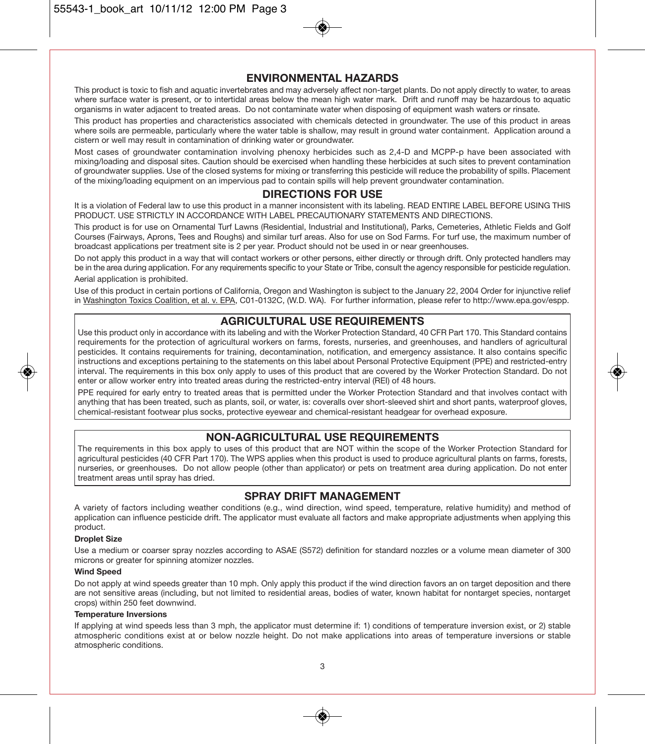#### **ENVIRONMENTAL HAZARDS**

This product is toxic to fish and aquatic invertebrates and may adversely affect non-target plants. Do not apply directly to water, to areas where surface water is present, or to intertidal areas below the mean high water mark. Drift and runoff may be hazardous to aquatic organisms in water adjacent to treated areas. Do not contaminate water when disposing of equipment wash waters or rinsate.

This product has properties and characteristics associated with chemicals detected in groundwater. The use of this product in areas where soils are permeable, particularly where the water table is shallow, may result in ground water containment. Application around a cistern or well may result in contamination of drinking water or groundwater.

Most cases of groundwater contamination involving phenoxy herbicides such as 2,4-D and MCPP-p have been associated with mixing/loading and disposal sites. Caution should be exercised when handling these herbicides at such sites to prevent contamination of groundwater supplies. Use of the closed systems for mixing or transferring this pesticide will reduce the probability of spills. Placement of the mixing/loading equipment on an impervious pad to contain spills will help prevent groundwater contamination.

#### **DIRECTIONS FOR USE**

It is a violation of Federal law to use this product in a manner inconsistent with its labeling. READ ENTIRE LABEL BEFORE USING THIS PRODUCT. USE STRICTLY IN ACCORDANCE WITH LABEL PRECAUTIONARY STATEMENTS AND DIRECTIONS.

This product is for use on Ornamental Turf Lawns (Residential, Industrial and Institutional), Parks, Cemeteries, Athletic Fields and Golf Courses (Fairways, Aprons, Tees and Roughs) and similar turf areas. Also for use on Sod Farms. For turf use, the maximum number of broadcast applications per treatment site is 2 per year. Product should not be used in or near greenhouses.

Do not apply this product in a way that will contact workers or other persons, either directly or through drift. Only protected handlers may be in the area during application. For any requirements specific to your State or Tribe, consult the agency responsible for pesticide regulation. Aerial application is prohibited.

Use of this product in certain portions of California, Oregon and Washington is subject to the January 22, 2004 Order for injunctive relief in Washington Toxics Coalition, et al. v. EPA, C01-0132C, (W.D. WA). For further information, please refer to http://www.epa.gov/espp.

#### **AGRICULTURAL USE REQUIREMENTS**

Use this product only in accordance with its labeling and with the Worker Protection Standard, 40 CFR Part 170. This Standard contains requirements for the protection of agricultural workers on farms, forests, nurseries, and greenhouses, and handlers of agricultural pesticides. It contains requirements for training, decontamination, notification, and emergency assistance. It also contains specific instructions and exceptions pertaining to the statements on this label about Personal Protective Equipment (PPE) and restricted-entry interval. The requirements in this box only apply to uses of this product that are covered by the Worker Protection Standard. Do not enter or allow worker entry into treated areas during the restricted-entry interval (REI) of 48 hours.

PPE required for early entry to treated areas that is permitted under the Worker Protection Standard and that involves contact with anything that has been treated, such as plants, soil, or water, is: coveralls over short-sleeved shirt and short pants, waterproof gloves, chemical-resistant footwear plus socks, protective eyewear and chemical-resistant headgear for overhead exposure.

#### **NON-AGRICULTURAL USE REQUIREMENTS**

The requirements in this box apply to uses of this product that are NOT within the scope of the Worker Protection Standard for agricultural pesticides (40 CFR Part 170). The WPS applies when this product is used to produce agricultural plants on farms, forests, nurseries, or greenhouses. Do not allow people (other than applicator) or pets on treatment area during application. Do not enter treatment areas until spray has dried.

#### **SPRAY DRIFT MANAGEMENT**

A variety of factors including weather conditions (e.g., wind direction, wind speed, temperature, relative humidity) and method of application can influence pesticide drift. The applicator must evaluate all factors and make appropriate adjustments when applying this product.

#### **Droplet Size**

Use a medium or coarser spray nozzles according to ASAE (S572) definition for standard nozzles or a volume mean diameter of 300 microns or greater for spinning atomizer nozzles.

#### **Wind Speed**

Do not apply at wind speeds greater than 10 mph. Only apply this product if the wind direction favors an on target deposition and there are not sensitive areas (including, but not limited to residential areas, bodies of water, known habitat for nontarget species, nontarget crops) within 250 feet downwind.

#### **Temperature Inversions**

If applying at wind speeds less than 3 mph, the applicator must determine if: 1) conditions of temperature inversion exist, or 2) stable atmospheric conditions exist at or below nozzle height. Do not make applications into areas of temperature inversions or stable atmospheric conditions.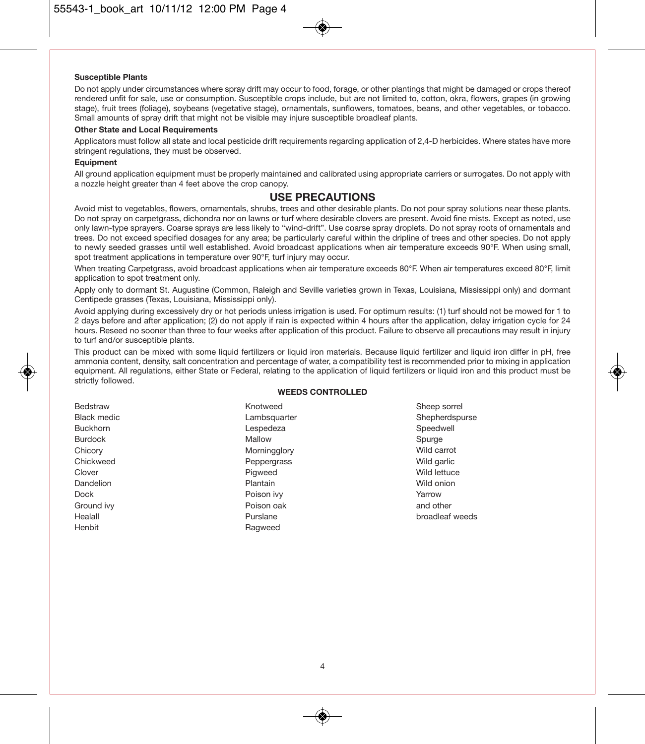#### **Susceptible Plants**

Do not apply under circumstances where spray drift may occur to food, forage, or other plantings that might be damaged or crops thereof rendered unfit for sale, use or consumption. Susceptible crops include, but are not limited to, cotton, okra, flowers, grapes (in growing stage), fruit trees (foliage), soybeans (vegetative stage), ornamentals, sunflowers, tomatoes, beans, and other vegetables, or tobacco. Small amounts of spray drift that might not be visible may injure susceptible broadleaf plants.

#### **Other State and Local Requirements**

Applicators must follow all state and local pesticide drift requirements regarding application of 2,4-D herbicides. Where states have more stringent regulations, they must be observed.

#### **Equipment**

All ground application equipment must be properly maintained and calibrated using appropriate carriers or surrogates. Do not apply with a nozzle height greater than 4 feet above the crop canopy.

#### **USE PRECAUTIONS**

Avoid mist to vegetables, flowers, ornamentals, shrubs, trees and other desirable plants. Do not pour spray solutions near these plants. Do not spray on carpetgrass, dichondra nor on lawns or turf where desirable clovers are present. Avoid fine mists. Except as noted, use only lawn-type sprayers. Coarse sprays are less likely to "wind-drift". Use coarse spray droplets. Do not spray roots of ornamentals and trees. Do not exceed specified dosages for any area; be particularly careful within the dripline of trees and other species. Do not apply to newly seeded grasses until well established. Avoid broadcast applications when air temperature exceeds 90°F. When using small, spot treatment applications in temperature over 90°F, turf injury may occur.

When treating Carpetgrass, avoid broadcast applications when air temperature exceeds 80°F. When air temperatures exceed 80°F, limit application to spot treatment only.

Apply only to dormant St. Augustine (Common, Raleigh and Seville varieties grown in Texas, Louisiana, Mississippi only) and dormant Centipede grasses (Texas, Louisiana, Mississippi only).

Avoid applying during excessively dry or hot periods unless irrigation is used. For optimum results: (1) turf should not be mowed for 1 to 2 days before and after application; (2) do not apply if rain is expected within 4 hours after the application, delay irrigation cycle for 24 hours. Reseed no sooner than three to four weeks after application of this product. Failure to observe all precautions may result in injury to turf and/or susceptible plants.

This product can be mixed with some liquid fertilizers or liquid iron materials. Because liquid fertilizer and liquid iron differ in pH, free ammonia content, density, salt concentration and percentage of water, a compatibility test is recommended prior to mixing in application equipment. All regulations, either State or Federal, relating to the application of liquid fertilizers or liquid iron and this product must be strictly followed.

#### **WEEDS CONTROLLED**

| <b>DHUSILAW</b> |
|-----------------|
| Black medic     |
| Buckhorn        |
| Burdock         |
| Chicory         |
| Chickweed       |
| Clover          |
| Dandelion       |
| Dock            |
| Ground ivv      |
| Healall         |
| Henbit          |
|                 |

Bedstraw

Knotweed Lambsquarter Lespedeza Mallow Morningglory Peppergrass **Pigweed** Plantain Poison ivy Poison oak Purslane Ragweed

Sheep sorrel Shepherdspurse Speedwell Spurge Wild carrot Wild garlic Wild lettuce Wild onion Yarrow and other broadleaf weeds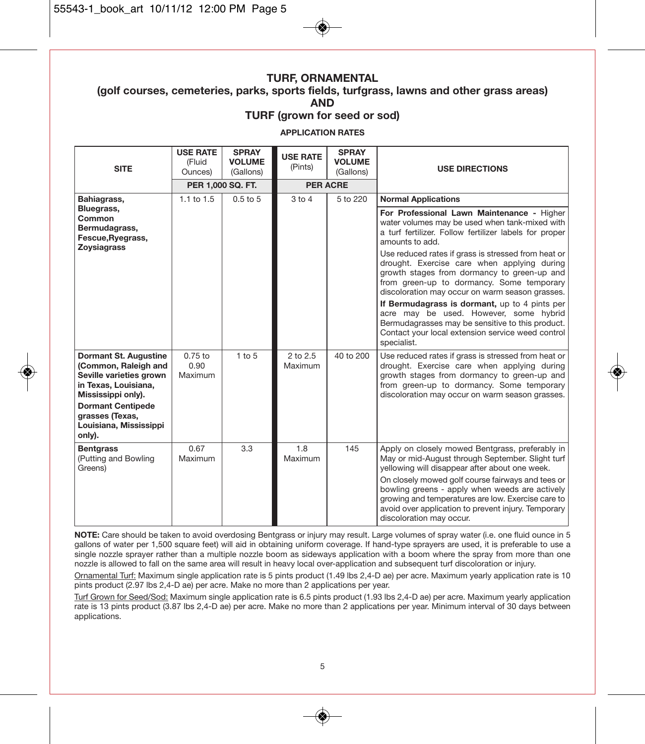#### **TURF, ORNAMENTAL (golf courses, cemeteries, parks, sports fields, turfgrass, lawns and other grass areas) AND**

**TURF (grown for seed or sod)**

**APPLICATION RATES**

| <b>SITE</b>                                                                                                                                                                                               | <b>USE RATE</b><br>(Fluid<br>Ounces) | <b>SPRAY</b><br><b>VOLUME</b><br>(Gallons) | <b>USE RATE</b><br>(Pints) | <b>SPRAY</b><br><b>VOLUME</b><br>(Gallons) | <b>USE DIRECTIONS</b>                                                                                                                                                                                                                                                                                                                                                                                 |
|-----------------------------------------------------------------------------------------------------------------------------------------------------------------------------------------------------------|--------------------------------------|--------------------------------------------|----------------------------|--------------------------------------------|-------------------------------------------------------------------------------------------------------------------------------------------------------------------------------------------------------------------------------------------------------------------------------------------------------------------------------------------------------------------------------------------------------|
|                                                                                                                                                                                                           | PER 1,000 SQ. FT.                    |                                            | <b>PER ACRE</b>            |                                            |                                                                                                                                                                                                                                                                                                                                                                                                       |
| Bahiagrass,                                                                                                                                                                                               | $1.1$ to $1.5$                       | $0.5$ to $5$                               | $3$ to $4$                 | 5 to 220                                   | <b>Normal Applications</b>                                                                                                                                                                                                                                                                                                                                                                            |
| Bluegrass,<br>Common<br>Bermudagrass,<br>Fescue, Ryegrass,<br><b>Zovsiagrass</b>                                                                                                                          |                                      |                                            |                            |                                            | For Professional Lawn Maintenance - Higher<br>water volumes may be used when tank-mixed with<br>a turf fertilizer. Follow fertilizer labels for proper<br>amounts to add.                                                                                                                                                                                                                             |
|                                                                                                                                                                                                           |                                      |                                            |                            |                                            | Use reduced rates if grass is stressed from heat or<br>drought. Exercise care when applying during<br>growth stages from dormancy to green-up and<br>from green-up to dormancy. Some temporary<br>discoloration may occur on warm season grasses.                                                                                                                                                     |
|                                                                                                                                                                                                           |                                      |                                            |                            |                                            | If Bermudagrass is dormant, up to 4 pints per<br>acre may be used. However, some hybrid<br>Bermudagrasses may be sensitive to this product.<br>Contact your local extension service weed control<br>specialist.                                                                                                                                                                                       |
| Dormant St. Augustine<br>(Common, Raleigh and<br>Seville varieties grown<br>in Texas, Louisiana,<br>Mississippi only).<br><b>Dormant Centipede</b><br>grasses (Texas,<br>Louisiana, Mississippi<br>only). | $0.75$ to<br>0.90<br>Maximum         | $1$ to $5$                                 | $2$ to $2.5$<br>Maximum    | 40 to 200                                  | Use reduced rates if grass is stressed from heat or<br>drought. Exercise care when applying during<br>growth stages from dormancy to green-up and<br>from green-up to dormancy. Some temporary<br>discoloration may occur on warm season grasses.                                                                                                                                                     |
| <b>Bentgrass</b><br>(Putting and Bowling<br>Greens)                                                                                                                                                       | 0.67<br>Maximum                      | 3.3                                        | 1.8<br>Maximum             | 145                                        | Apply on closely mowed Bentgrass, preferably in<br>May or mid-August through September. Slight turf<br>yellowing will disappear after about one week.<br>On closely mowed golf course fairways and tees or<br>bowling greens - apply when weeds are actively<br>growing and temperatures are low. Exercise care to<br>avoid over application to prevent injury. Temporary<br>discoloration may occur. |

**NOTE:** Care should be taken to avoid overdosing Bentgrass or injury may result. Large volumes of spray water (i.e. one fluid ounce in 5 gallons of water per 1,500 square feet) will aid in obtaining uniform coverage. If hand-type sprayers are used, it is preferable to use a single nozzle sprayer rather than a multiple nozzle boom as sideways application with a boom where the spray from more than one nozzle is allowed to fall on the same area will result in heavy local over-application and subsequent turf discoloration or injury.

Ornamental Turf: Maximum single application rate is 5 pints product (1.49 lbs 2,4-D ae) per acre. Maximum yearly application rate is 10 pints product (2.97 lbs 2,4-D ae) per acre. Make no more than 2 applications per year.

Turf Grown for Seed/Sod: Maximum single application rate is 6.5 pints product (1.93 lbs 2,4-D ae) per acre. Maximum yearly application rate is 13 pints product (3.87 lbs 2,4-D ae) per acre. Make no more than 2 applications per year. Minimum interval of 30 days between applications.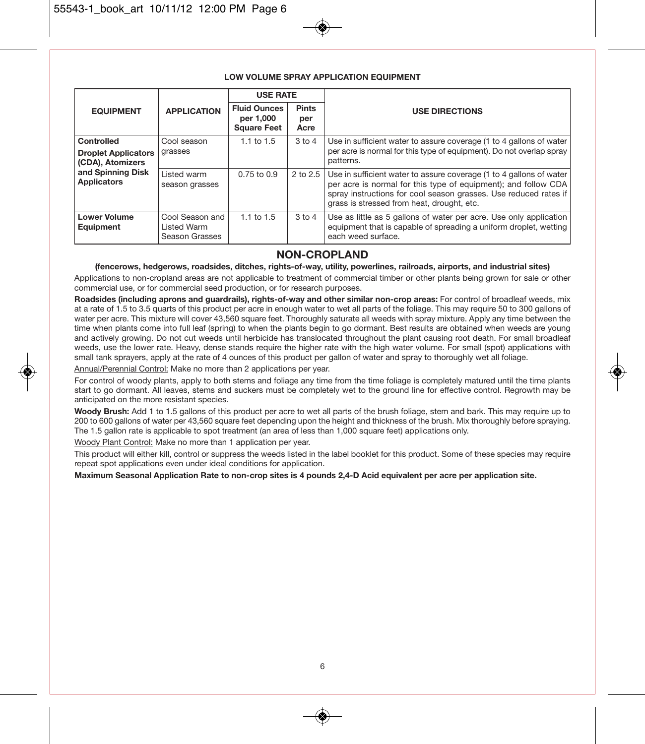|                                                |                                                         | <b>USE RATE</b>                                        |                             |                                                                                                                                                                                                                                                         |
|------------------------------------------------|---------------------------------------------------------|--------------------------------------------------------|-----------------------------|---------------------------------------------------------------------------------------------------------------------------------------------------------------------------------------------------------------------------------------------------------|
| <b>EQUIPMENT</b>                               | <b>APPLICATION</b>                                      | <b>Fluid Ounces</b><br>per 1,000<br><b>Square Feet</b> | <b>Pints</b><br>per<br>Acre | <b>USE DIRECTIONS</b>                                                                                                                                                                                                                                   |
| Controlled                                     | Cool season                                             | $1.1$ to $1.5$                                         | $3$ to $4$                  | Use in sufficient water to assure coverage (1 to 4 gallons of water                                                                                                                                                                                     |
| <b>Droplet Applicators</b><br>(CDA), Atomizers | grasses                                                 |                                                        |                             | per acre is normal for this type of equipment). Do not overlap spray<br>patterns.                                                                                                                                                                       |
| and Spinning Disk<br><b>Applicators</b>        | Listed warm<br>season grasses                           | $0.75$ to $0.9$                                        | $2$ to $2.5$                | Use in sufficient water to assure coverage (1 to 4 gallons of water<br>per acre is normal for this type of equipment); and follow CDA<br>spray instructions for cool season grasses. Use reduced rates if<br>grass is stressed from heat, drought, etc. |
| <b>Lower Volume</b><br>Equipment               | Cool Season and<br><b>Listed Warm</b><br>Season Grasses | 1.1 to $1.5$                                           | $3$ to $4$                  | Use as little as 5 gallons of water per acre. Use only application<br>equipment that is capable of spreading a uniform droplet, wetting<br>each weed surface.                                                                                           |

#### **LOW VOLUME SPRAY APPLICATION EQUIPMENT**

#### **NON-CROPLAND**

**(fencerows, hedgerows, roadsides, ditches, rights-of-way, utility, powerlines, railroads, airports, and industrial sites)**

Applications to non-cropland areas are not applicable to treatment of commercial timber or other plants being grown for sale or other commercial use, or for commercial seed production, or for research purposes.

**Roadsides (including aprons and guardrails), rights-of-way and other similar non-crop areas:** For control of broadleaf weeds, mix at a rate of 1.5 to 3.5 quarts of this product per acre in enough water to wet all parts of the foliage. This may require 50 to 300 gallons of water per acre. This mixture will cover 43,560 square feet. Thoroughly saturate all weeds with spray mixture. Apply any time between the time when plants come into full leaf (spring) to when the plants begin to go dormant. Best results are obtained when weeds are young and actively growing. Do not cut weeds until herbicide has translocated throughout the plant causing root death. For small broadleaf weeds, use the lower rate. Heavy, dense stands require the higher rate with the high water volume. For small (spot) applications with small tank sprayers, apply at the rate of 4 ounces of this product per gallon of water and spray to thoroughly wet all foliage.

Annual/Perennial Control: Make no more than 2 applications per year.

For control of woody plants, apply to both stems and foliage any time from the time foliage is completely matured until the time plants start to go dormant. All leaves, stems and suckers must be completely wet to the ground line for effective control. Regrowth may be anticipated on the more resistant species.

**Woody Brush:** Add 1 to 1.5 gallons of this product per acre to wet all parts of the brush foliage, stem and bark. This may require up to 200 to 600 gallons of water per 43,560 square feet depending upon the height and thickness of the brush. Mix thoroughly before spraying. The 1.5 gallon rate is applicable to spot treatment (an area of less than 1,000 square feet) applications only.

Woody Plant Control: Make no more than 1 application per year.

This product will either kill, control or suppress the weeds listed in the label booklet for this product. Some of these species may require repeat spot applications even under ideal conditions for application.

**Maximum Seasonal Application Rate to non-crop sites is 4 pounds 2,4-D Acid equivalent per acre per application site.**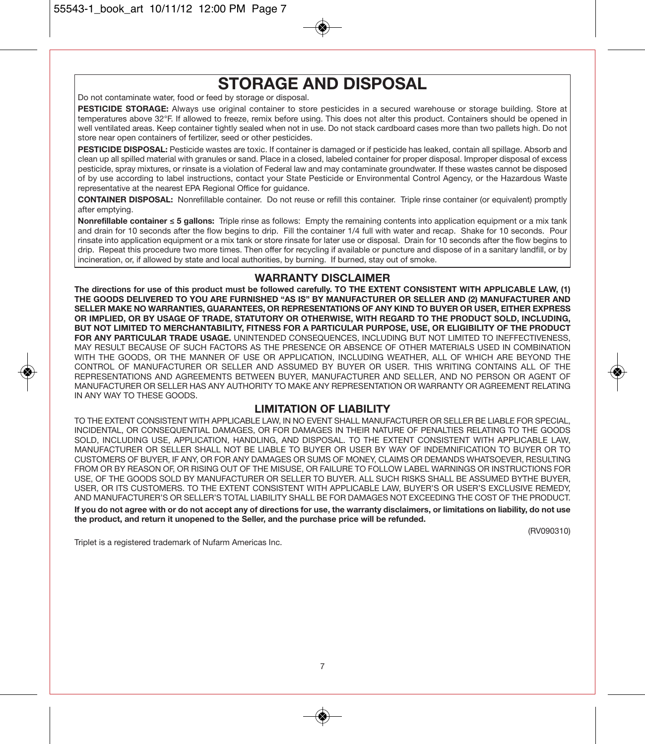## **STORAGE AND DISPOSAL**

Do not contaminate water, food or feed by storage or disposal.

**PESTICIDE STORAGE:** Always use original container to store pesticides in a secured warehouse or storage building. Store at temperatures above 32°F. If allowed to freeze, remix before using. This does not alter this product. Containers should be opened in well ventilated areas. Keep container tightly sealed when not in use. Do not stack cardboard cases more than two pallets high. Do not store near open containers of fertilizer, seed or other pesticides.

**PESTICIDE DISPOSAL:** Pesticide wastes are toxic. If container is damaged or if pesticide has leaked, contain all spillage. Absorb and clean up all spilled material with granules or sand. Place in a closed, labeled container for proper disposal. Improper disposal of excess pesticide, spray mixtures, or rinsate is a violation of Federal law and may contaminate groundwater. If these wastes cannot be disposed of by use according to label instructions, contact your State Pesticide or Environmental Control Agency, or the Hazardous Waste representative at the nearest EPA Regional Office for guidance.

**CONTAINER DISPOSAL:** Nonrefillable container. Do not reuse or refill this container. Triple rinse container (or equivalent) promptly after emptying.

**Nonrefillable container ≤ 5 gallons:** Triple rinse as follows: Empty the remaining contents into application equipment or a mix tank and drain for 10 seconds after the flow begins to drip. Fill the container 1/4 full with water and recap. Shake for 10 seconds. Pour rinsate into application equipment or a mix tank or store rinsate for later use or disposal. Drain for 10 seconds after the flow begins to drip. Repeat this procedure two more times. Then offer for recycling if available or puncture and dispose of in a sanitary landfill, or by incineration, or, if allowed by state and local authorities, by burning. If burned, stay out of smoke.

#### **WARRANTY DISCLAIMER**

**The directions for use of this product must be followed carefully. TO THE EXTENT CONSISTENT WITH APPLICABLE LAW, (1) THE GOODS DELIVERED TO YOU ARE FURNISHED "AS IS" BY MANUFACTURER OR SELLER AND (2) MANUFACTURER AND SELLER MAKE NO WARRANTIES, GUARANTEES, OR REPRESENTATIONS OF ANY KIND TO BUYER OR USER, EITHER EXPRESS OR IMPLIED, OR BY USAGE OF TRADE, STATUTORY OR OTHERWISE, WITH REGARD TO THE PRODUCT SOLD, INCLUDING, BUT NOT LIMITED TO MERCHANTABILITY, FITNESS FOR A PARTICULAR PURPOSE, USE, OR ELIGIBILITY OF THE PRODUCT FOR ANY PARTICULAR TRADE USAGE.** UNINTENDED CONSEQUENCES, INCLUDING BUT NOT LIMITED TO INEFFECTIVENESS, MAY RESULT BECAUSE OF SUCH FACTORS AS THE PRESENCE OR ABSENCE OF OTHER MATERIALS USED IN COMBINATION WITH THE GOODS, OR THE MANNER OF USE OR APPLICATION, INCLUDING WEATHER, ALL OF WHICH ARE BEYOND THE CONTROL OF MANUFACTURER OR SELLER AND ASSUMED BY BUYER OR USER. THIS WRITING CONTAINS ALL OF THE REPRESENTATIONS AND AGREEMENTS BETWEEN BUYER, MANUFACTURER AND SELLER, AND NO PERSON OR AGENT OF MANUFACTURER OR SELLER HAS ANY AUTHORITY TO MAKE ANY REPRESENTATION OR WARRANTY OR AGREEMENT RELATING IN ANY WAY TO THESE GOODS.

#### **LIMITATION OF LIABILITY**

TO THE EXTENT CONSISTENT WITH APPLICABLE LAW, IN NO EVENT SHALL MANUFACTURER OR SELLER BE LIABLE FOR SPECIAL, INCIDENTAL, OR CONSEQUENTIAL DAMAGES, OR FOR DAMAGES IN THEIR NATURE OF PENALTIES RELATING TO THE GOODS SOLD, INCLUDING USE, APPLICATION, HANDLING, AND DISPOSAL. TO THE EXTENT CONSISTENT WITH APPLICABLE LAW, MANUFACTURER OR SELLER SHALL NOT BE LIABLE TO BUYER OR USER BY WAY OF INDEMNIFICATION TO BUYER OR TO CUSTOMERS OF BUYER, IF ANY, OR FOR ANY DAMAGES OR SUMS OF MONEY, CLAIMS OR DEMANDS WHATSOEVER, RESULTING FROM OR BY REASON OF, OR RISING OUT OF THE MISUSE, OR FAILURE TO FOLLOW LABEL WARNINGS OR INSTRUCTIONS FOR USE, OF THE GOODS SOLD BY MANUFACTURER OR SELLER TO BUYER. ALL SUCH RISKS SHALL BE ASSUMED BYTHE BUYER, USER, OR ITS CUSTOMERS. TO THE EXTENT CONSISTENT WITH APPLICABLE LAW, BUYER'S OR USER'S EXCLUSIVE REMEDY, AND MANUFACTURER'S OR SELLER'S TOTAL LIABILITY SHALL BE FOR DAMAGES NOT EXCEEDING THE COST OF THE PRODUCT. **If you do not agree with or do not accept any of directions for use, the warranty disclaimers, or limitations on liability, do not use**

**the product, and return it unopened to the Seller, and the purchase price will be refunded.**

(RV090310)

Triplet is a registered trademark of Nufarm Americas Inc.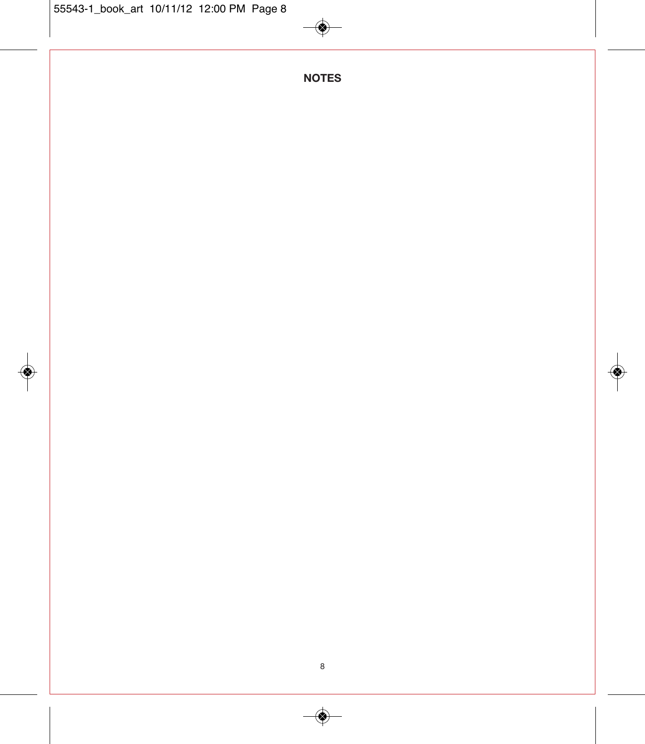◈

**NOTES**

◈

◈